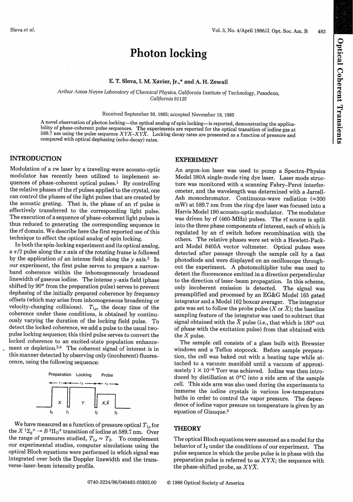Optical Coherent Transients

# Photon locking

### E. T. Sleva, I. M. Xavier, **Jr.,\*** and A. H. Zewail

Arthur Amos *Noyes Laboratory* of Chemical *Physics,* California Institute of Technology, Pasadena, *California 91125*

### Received September 30, 1985; accepted November 19, 1985

A novel observation of photon locking—the optical analog of spin locking—is reported, demonstrating the applica-<br>bility of phase-coherent pulse sequences. The experiments are reported for the optical transition of iodine g 589.7 nm using the pulse sequence *XYX-XYX.* Locking decay rates are presented as a function of pressure and compared with optical dephasing (echo-decay) rates.

### **INTRODUCTION**

Modulation of a cw laser by a traveling-wave acousto-optic modulator has recently been utilized to implement sequences of phase-coherent optical pulses.' By controlling the relative phases of the rf pulses applied to the crystal, one can control the phases of the light pulses that are created by the acoustic grating. That is, the phase of an rf pulse is effectively transferred to the corresponding light pulse. The execution of a sequence of phase-coherent light pulses is thus reduced to generating the corresponding sequence in the rf domain. We describe here the first reported use of this technique to effect the optical analog of spin locking.<br>In both the spin-locking experiment and its optical analog.

a  $\pi/2$  pulse along the x axis of the rotating frame is followed by the application of an intense field along the  $y$  axis.<sup>2</sup> In our experiment, the first pulse serves to prepare a narrowband coherence within the inhomogeneously broadened linewidth of gaseous iodine. The intense y-axis field (phase shifted by 90° from the preparation pulse) serves to prevent dephasing of the initially prepared coherence by frequency offsets (which may arise from inhomogeneous broadening or velocity-changing collisions).  $T_{1\rho}$ , the decay time of the coherence under these conditions, is obtained by continuously varying the duration of the locking field pulse. To detect the locked coherence, we add a pulse to the usual twopulse locking sequence; this third pulse serves to convert the locked coherence to an excited-state population enhancement or depletion.<sup>3,4</sup> The coherent signal of interest is in this manner detected by observing only (incoherent) fluorescence, using the following sequence:



We have measured as a function of pressure optical  $T_{1\rho}$  for the  $X^1\Sigma_g^+ \rightarrow B^3\Pi_O^+$  transition of iodine at 589.7 nm. Over the range of pressures studied,  $T_{1\rho} \approx T_2$ . To complement our experimental studies, computer simulations using the optical Bloch equations were performed in which signal was integrated over both the Doppler linewidth and the transverse-laser-beam intensity profile.

### **EXPERIMENT**

An argon-ion laser was used to pump a Spectra-Physics Model 380A single-mode ring dye laser. Laser mode structure was monitored with a scanning Fabry-Perot interferometer, and the wavelength was determined with a Jarrell-Ash monochromator. Continuous-wave radiation  $(\approx 300$ mW) at 589.7 nm from the ring dye laser was focused into a Harris Model 190 acousto-optic modulator. The modulator was driven by rf (460-MHz) pulses. The rf source is split into the three phase components of interest, each of which is regulated by an rf switch before recombination with the others. The relative phases were set with a Hewlett-Packard Model 8405A vector voltmeter. Optical pulses were detected after passage through the sample cell by a fast photodiode and were displayed on an oscilloscope throughout the experiment. A photomultiplier tube was used to detect the fluorescence emitted in a direction perpendicular to the direction of laser-beam propagation. In this scheme, only incoherent emission is detected. The signal was preamplified and processed by an EG&G Model 165 gated integrator and a Model 162 boxcar averager. The integrator gate was set to follow the probe pulse  $(X \text{ or } \overline{X})$ ; the baseline sampling feature of the integrator was used to subtract that signal obtained with the  $\bar{X}$  pulse (i.e., that which is 180° out of phase with the excitation pulse) from that obtained with the X pulse.

The sample cell consists of a glass bulb with Brewster windows and a Teflon stopcock. Before sample preparation, the cell was baked out with a heating tape while attached to a vacuum manifold until a vacuum of approximately  $1 \times 10^{-6}$  Torr was achieved. Iodine was then introduced by distillation at  $0^{\circ}$ C into a side arm of the sample cell. This side arm was also used during the experiments to immerse the iodine crystals in various low-temperature baths in order to control the vapor pressure. The dependence of iodine vapor presure on temperature is given by an equation of Giauque.<sup>5</sup>

### **THEORY**

The optical Bloch equations were assumed as a model for the behavior of  $I_2$  under the conditions of our experiment. The pulse sequence in which the probe pulse is in phase with the preparation pulse is referred to as *XYX;* the sequence with the phase-shifted probe, as *XYX.*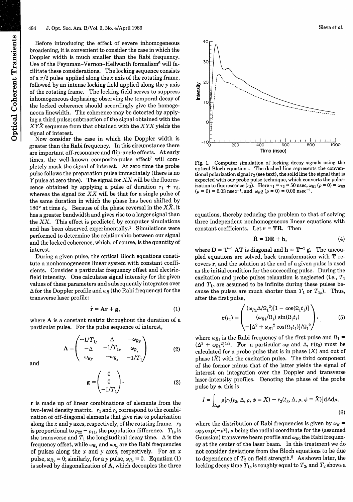Before introducing the effect of severe inhomogeneous broadening, it is convenient to consider the case in which the Doppler width is much smaller than the Rabi frequency. Use of the Feynman-Vernon-Hellwarth formalism<sup>6</sup> will facilitate these considerations. The locking sequence consists of a  $\pi/2$  pulse applied along the x axis of the rotating frame, followed by an intense locking field applied along the y axis of the rotating frame. The locking field serves to suppress inhomogeneous dephasing; observing the temporal decay of the locked coherence should accordingly give the homogeneous linewidth. The coherence may be detected by applying a third pulse; subtraction of the signal obtained with the XYX sequence from that obtained with the *XYX* yields the signal of interest.

Now consider the case in which the Doppler width is greater than the Rabi frequency. In this circumstance there are important off-resonance and flip-angle effects. At early times, the well-known composite-pulse effect<sup>7</sup> will completely mask the signal of interest. At zero time the probe pulse follows the preparation pulse immediately (there is no Y pulse at zero time). The signal for  $XX$  will be the fluorescence obtained by applying a pulse of duration  $\tau_1 + \tau_3$ , whereas the signal for  $X\bar{X}$  will be that for a single pulse of the same duration in which the phase has been shifted by 180° at time  $t_1$ . Because of the phase reversal in the  $X\overline{X}$ , it has a greater bandwidth and gives rise to a larger signal than the  $XX$ . This effect is predicted by computer simulations and has been observed experimentally.' Simulations were performed to determine the relationship between our signal and the locked coherence, which, of course, is the quantity of interest.

During a given pulse, the optical Bloch equations constitute a nonhomogeneous linear system with constant coefficients. Consider a particular frequency offset and electricfield intensity. One calculates signal intensity for the given values of these parameters and subsequently integrates over  $\Delta$  for the Doppler profile and  $\omega_R$  (the Rabi frequency) for the transverse laser profile:

$$
\dot{\mathbf{r}} = \mathbf{A}\mathbf{r} + \mathbf{g},\tag{1}
$$

where A is a constant matrix throughout the duration of a particular pulse. For the pulse sequence of interest,

> $-1/T_{1\rho} \qquad \Delta$ *WRy*  $A = \begin{bmatrix} -\Delta & -1/T_1 \end{bmatrix}$  $(2)$  $\begin{bmatrix} \omega_{R_x} \\ -1/T_1 \end{bmatrix}$  $\omega_{Ry}$  -  $\omega_{R_x}$

and

$$
\mathbf{g} = \begin{pmatrix} 0 \\ 0 \\ -1/T_1 \end{pmatrix} . \tag{3}
$$

r is made up of linear combinations of elements from the two-level density matrix.  $r_1$  and  $r_2$  correspond to the combination of off-diagonal elements that give rise to polarization along the x and y axes, respectively, of the rotating frame.  $r_3$ is proportional to  $\rho_{22} - \rho_{11}$ , the population difference.  $T_{1\rho}$  is the transverse and  $T_1$  the longitudinal decay time.  $\Delta$  is the frequency offset, while  $\omega_{R_x}$  and  $\omega_{R_y}$  are the Rabi frequencies of pulses along the x and y axes, respectively. For an x pulse,  $\omega_{Ry} = 0$ ; similarly, for a y pulse,  $\omega_{R_x} = 0$ . Equation (1) is solved by diagonalization of A, which decouples the three



Fig. 1. Computer simulation of locking decay signals using the optical Bloch equations. The dashed line represents the conventional polarization signal  $r_2$  (see text), the solid line the signal that is expected with our probe pulse technique, which converts the polarization to fluorescence  $(r_3)$ . Here  $\tau_1 = \tau_3 = 50$  nsec,  $\omega_{R1}$   $(\rho = 0) = \omega_{R3}$  $(\rho = 0) = 0.03$  nsec<sup>-1</sup>, and  $\omega_R$ 2  $(\rho = 0) = 0.06$  nsec<sup>-1</sup>.

equations, thereby reducing the problem to that of solving three independent nonhomogeneous linear equations with constant coefficients. Let  $\mathbf{r} = \mathbf{T}\mathbf{R}$ . Then

$$
\dot{\mathbf{R}} = \mathbf{DR} + \mathbf{h},\tag{4}
$$

where  $D = T^{-1}AT$  is diagonal and  $h = T^{-1}g$ . The uncoupled equations are solved, back transformation with T recovers r, and the solution at the end of a given pulse is used as the initial condition for the succeeding pulse. During the excitation and probe pulses relaxation is neglected (i.e., *T,* and  $T_{1\rho}$  are assumed to be infinite during these pulses because the pulses are much shorter than  $T_1$  or  $T_{1\rho}$ ). Thus, after the first pulse,

$$
\mathbf{r}(t_1) = \begin{pmatrix} (\omega_{R1} \Delta/\Omega_1^2) [1 - \cos(\Omega_1 t_1)] \\ (\omega_{R1} / \Omega_1) \sin(\Omega_1 t_1) \\ -[\Delta^2 + \omega_{R1}^2 \cos(\Omega_1 t_1)] / \Omega_1^2 \end{pmatrix},
$$
(5)

where  $\omega_{R1}$  is the Rabi frequency of the first pulse and  $\Omega_1$  =  $(\Delta^2 + \omega_{R1}^2)^{1/2}$ . For a particular  $\omega_R$  and  $\Delta$ ,  $\mathbf{r}(t_3)$  must be calculated for a probe pulse that is in phase  $(X)$  and out of phase  $(\bar{X})$  with the excitation pulse. The third component of the former minus that of the latter yields the signal of interest on integration over the Doppler and transverse laser-intensity profiles. Denoting the phase of the probe pulse by  $\phi$ , this is

$$
I = \int_{\Delta,\rho} \rho[r_3(t_3,\Delta,\rho,\phi=X) - r_3(t_3,\Delta,\rho,\phi=\bar{X})]d\Delta d\rho,
$$
\n(6)

where the distribution of Rabi frequencies is given by  $\omega_R$  =  $\omega_{R0}$  exp( $-\rho^2$ ),  $\rho$  being the radial coordinate for the (assumed Gaussian) transverse beam profile and  $\omega_{R0}$  the Rabi frequency at the center of the laser beam. In this treatment we do not consider deviations from the Bloch equations to be due to dependence of  $T_2$  on field strength.<sup>8</sup> As shown later, the locking decay time  $T_{1\rho}$  is roughly equal to  $T_2$ , and  $T_2$  shows a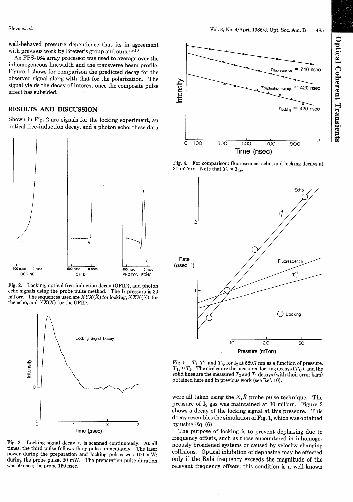well-behaved pressure dependence that its in agreement with previous work by Brewer's group and ours. $^{3,9,10}$ 

An FPS-164 array processor was used to average over the inhomogeneous linewidth and the transverse beam profile. Figure 1 shows for comparison the predicted decay for the observed signal along with that for the polarization. The signal yields the decay of interest once the composite pulse effect has subsided.

## **RESULTS AND DISCUSSION**

Shown in Fig. 2 are signals for the locking experiment, an optical free-induction decay, and a photon echo; these data



Fig. 2. Locking, optical free-induction decay (OFID), and photon echo signals using the probe pulse method. The  $I_2$  pressure is 30 mTorr. The sequences used are  $XYX(\bar{X})$  for locking,  $XXX(\bar{X})$  for the echo, and  $XX(\bar{X})$  for the OFID.



Fig. 3. Locking signal decay  $\tau_2$  is scanned continuously. At all times, the third pulse follows the y pulse immediately. The laser power during the preparation and locking pulses was 100 mW; during the probe pulse, 20 mW. The preparation pulse duration was 50 nsec; the probe 150 nsec.



Fig. 4. For comparison: fluorescence, echo, and locking decays at 30 mTorr. Note that  $T_2 \approx T_{1\rho}$ .



Fig. 5. *T<sub>1</sub>*, *T<sub>2</sub>*, and *T<sub>1<sub>p</sub>*</sub> for I<sub>2</sub> at 589.7 nm as a function of pressure.  $T_{1\rho} \approx T_2$ . The circles are the measured locking decays ( $T_{1\rho}$ ), and the solid lines are the measured  $T_2$  and  $T_1$  decays (with their error bars) obtained here and in previous work (see Ref. 10).

were all taken using the  $X,\bar{X}$  probe pulse technique. The pressure of  $I_2$  gas was maintained at 30 mTorr. Figure 3 shows a decay of the locking signal at this pressure. This decay resembles the simulation of Fig. 1, which was obtained by using Eq. (6).

The purpose of locking is to prevent dephasing due to frequency offsets, such as those encountered in inhomogeneously broadened systems or caused by velocity-changing collisions. Optical inhibition of dephasing may be effected only if the Rabi frequency exceeds the magnitude of the relevant frequency offsets; this condition is a well-known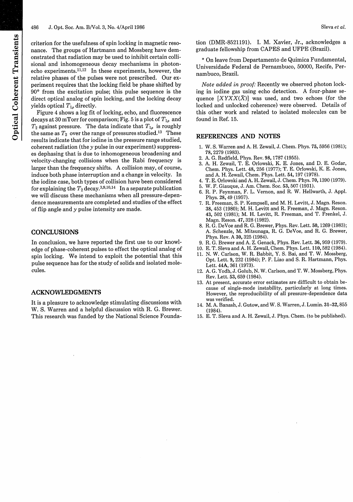criterion for the usefulness of spin locking in magnetic resonance. The groups of Hartmann and Mossberg have demonstrated that radiation may be used to inhibit certain collisional and inhomogeneous decay mechanisms in photonecho experiments. $11,12$  In these experiments, however, the relative phases of the pulses were not prescribed. Our experiment requires that the locking field be phase shifted by 90° from the excitation pulse; this pulse sequence is the direct optical analog of spin locking, and the locking decay yields optical *T,,* directly.

Figure 4 shows a log fit of locking, echo, and fluorescence decays at 30 mTorr for comparison; Fig. 5 is a plot of  $T_{1\rho}$  and  $T_2$  against pressure. The data indicate that  $T_{1\rho}$  is roughly the same as  $T_2$  over the range of pressures studied.<sup>13</sup> These results indicate that for iodine in the pressure range studied, coherent radiation (the y pulse in our experiment) suppresses dephasing that is due to inhomogeneous broadening and velocity-changing collisions when the Rabi frequency is larger than the frequency shifts. A collision may, of course, induce both phase interruption and a change in velocity. In the iodine case, both types of collision have been considered for explaining the  $T_2$  decay.<sup>3,9,10,14</sup> In a separate publication we will discuss these mechanisms when all pressure-dependence measurements are completed and studies of the effect of flip angle and  $\nu$  pulse intensity are made.

### **CONCLUSIONS**

In conclusion, we have reported the first use to our knowledge of phase-coherent pulses to effect the optical analog of spin locking. We intend to exploit the potential that this pulse sequence has for the study of solids and isolated molecules.

### **ACKNOWLEDGMENTS**

It is a pleasure to acknowledge stimulating discussions with W. S. Warren and a helpful discussion with R. G. Brewer. This research was funded by the National Science Founda-

tion (DMR-8521191). I. M. Xavier, Jr., acknowledges a graduate fellowship from CAPES and UFPE (Brazil).

\* On leave from Departamento de Quimica Fundamental, Universidade Federal de Pernambuco, 50000, Recife, Pernambuco, Brazil.

*Note added in proof:* Recently we observed photon locking in iodine gas using echo detection. A four-phase sequence  $[XYXX(\overline{X})]$  was used, and two echoes (for the locked and unlocked coherence) were observed. Details of this other work and related to isolated molecules can be found in Ref. 15.

### REFERENCES AND NOTES

- 1. W. S. Warren and A. H. Zewail, J. Chem. Phys. 75, 5956 (1981); 78, 2279 (1983).
- 2. A. G. Redfield, Phys. Rev. 98, 1787 (1955).
- 3. A. H. Zewail, T. E. Orlowski, K. E. Jones, and D. E. Godar, Chem. Phys. Lett. 48, 256 (1977); T. E. Orlowski, K. E. Jones, and A. H. Zewail, Chem. Phys. Lett. 54, 197 (1978).
- 4. T. E. Orlowski and A. H. Zewail, J. Chem. Phys. 70,1390 (1979).
- 5. W. F. Giauque, J. Am. Chem. Soc. 53, 507 (1931).
- 6. R. P. Feynman, F. L. Vernon, and R. W. Hellwarth, J. Appl. Phys. 28, 49 (1957).
- 7. R. Freeman, S. P. Kempsell, and M. H. Levitt, J. Magn. Reson. 38, 453 (1980); M. H. Levitt and R. Freeman, J. Magn. Reson. 43, 502 (1981); M. H. Levitt, R. Freeman, and T. Frenkel, J. Magn. Reson. 47, 328 (1982).
- 8. R. G. DeVoe and R. G. Brewer, Phys. Rev. Lett. 50, 1269 (1983); A. Schenzle, M. Mitsunaga, R. G. DeVoe, and R. G. Brewer, Phys. Rev. A 30, 325 (1984).
- 9. R. G. Brewer and A. Z. Genack, Phys. Rev. Lett. 36, 959 (1979).
- 10. E. T. Sleva and A. H. Zewail, Chem. Phys. Lett. 110,582 (1984). 11. N. W. Carlson, W. R. Babbit, Y. S. Bai, and T. W. Mossberg,
- Opt. Lett. 9, 232 (1984); P. F. Liao and S. R. Hartmann, Phys. Lett. 44A, 361 (1973).
- 12. A. G. Yodh, J. Golub, N. W. Carlson, and T. W. Mossberg, Phys. Rev. Lett. 53, 659 (1984).
- 13. At present, accurate error estimates are difficult to obtain because of single-mode instability, particularly at long times. However, the reproducibility of all pressure-dependence data was verified.
- 14. M. A. Banash, J. Gutow, and W. S. Warren, J. Lumin. 31-32,855 (1984).
- 15. E. T. Sleva and A. H. Zewail, J. Phys. Chem. (to be published).